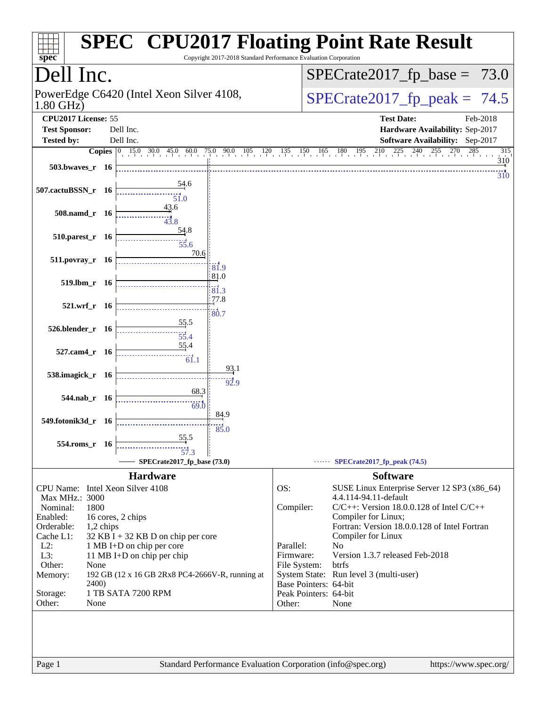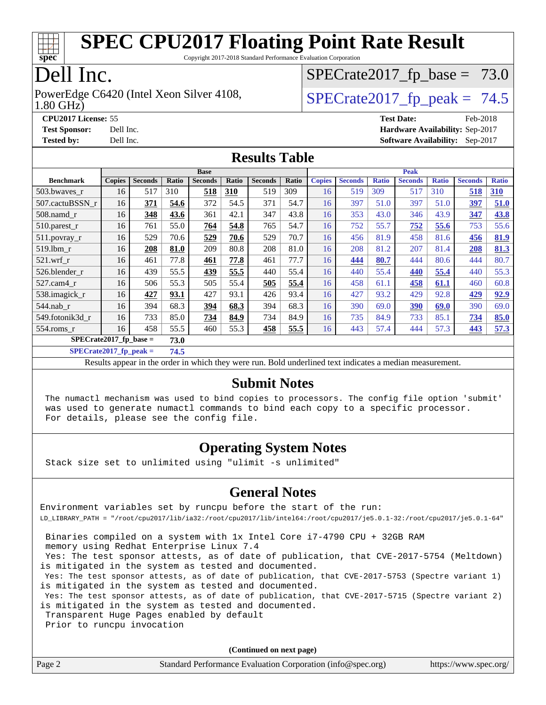

Copyright 2017-2018 Standard Performance Evaluation Corporation

### Dell Inc.

1.80 GHz) PowerEdge C6420 (Intel Xeon Silver 4108,  $\vert$  SPECrate 2017\_fp\_peak = 74.5

 $SPECTate2017_fp\_base = 73.0$ 

**[CPU2017 License:](http://www.spec.org/auto/cpu2017/Docs/result-fields.html#CPU2017License)** 55 **[Test Date:](http://www.spec.org/auto/cpu2017/Docs/result-fields.html#TestDate)** Feb-2018 **[Test Sponsor:](http://www.spec.org/auto/cpu2017/Docs/result-fields.html#TestSponsor)** Dell Inc. **[Hardware Availability:](http://www.spec.org/auto/cpu2017/Docs/result-fields.html#HardwareAvailability)** Sep-2017 **[Tested by:](http://www.spec.org/auto/cpu2017/Docs/result-fields.html#Testedby)** Dell Inc. **[Software Availability:](http://www.spec.org/auto/cpu2017/Docs/result-fields.html#SoftwareAvailability)** Sep-2017

#### **[Results Table](http://www.spec.org/auto/cpu2017/Docs/result-fields.html#ResultsTable)**

|                          | <b>Base</b>   |                |       |                | <b>Peak</b> |                |       |               |                |              |                |              |                |              |
|--------------------------|---------------|----------------|-------|----------------|-------------|----------------|-------|---------------|----------------|--------------|----------------|--------------|----------------|--------------|
| <b>Benchmark</b>         | <b>Copies</b> | <b>Seconds</b> | Ratio | <b>Seconds</b> | Ratio       | <b>Seconds</b> | Ratio | <b>Copies</b> | <b>Seconds</b> | <b>Ratio</b> | <b>Seconds</b> | <b>Ratio</b> | <b>Seconds</b> | <b>Ratio</b> |
| 503.bwaves r             | 16            | 517            | 310   | 518            | 310         | 519            | 309   | 16            | 519            | 309          | 517            | 310          | 518            | <b>310</b>   |
| 507.cactuBSSN r          | 16            | 371            | 54.6  | 372            | 54.5        | 371            | 54.7  | 16            | 397            | 51.0         | 397            | 51.0         | 397            | 51.0         |
| $508$ .namd $r$          | 16            | 348            | 43.6  | 361            | 42.1        | 347            | 43.8  | 16            | 353            | 43.0         | 346            | 43.9         | 347            | 43.8         |
| 510.parest_r             | 16            | 761            | 55.0  | 764            | 54.8        | 765            | 54.7  | 16            | 752            | 55.7         | 752            | 55.6         | 753            | 55.6         |
| 511.povray_r             | 16            | 529            | 70.6  | 529            | 70.6        | 529            | 70.7  | 16            | 456            | 81.9         | 458            | 81.6         | 456            | 81.9         |
| 519.1bm r                | 16            | 208            | 81.0  | 209            | 80.8        | 208            | 81.0  | 16            | 208            | 81.2         | 207            | 81.4         | 208            | 81.3         |
| $521.wrf$ r              | 16            | 461            | 77.8  | 461            | 77.8        | 461            | 77.7  | 16            | 444            | 80.7         | 444            | 80.6         | 444            | 80.7         |
| 526.blender r            | 16            | 439            | 55.5  | 439            | 55.5        | 440            | 55.4  | 16            | 440            | 55.4         | 440            | 55.4         | 440            | 55.3         |
| $527$ .cam $4r$          | 16            | 506            | 55.3  | 505            | 55.4        | 505            | 55.4  | 16            | 458            | 61.1         | 458            | <u>61.1</u>  | 460            | 60.8         |
| 538.imagick_r            | 16            | 427            | 93.1  | 427            | 93.1        | 426            | 93.4  | 16            | 427            | 93.2         | 429            | 92.8         | 429            | 92.9         |
| $544$ .nab_r             | 16            | 394            | 68.3  | 394            | 68.3        | 394            | 68.3  | 16            | 390            | 69.0         | 390            | 69.0         | 390            | 69.0         |
| 549.fotonik3d r          | 16            | 733            | 85.0  | 734            | 84.9        | 734            | 84.9  | 16            | 735            | 84.9         | 733            | 85.1         | 734            | 85.0         |
| $554$ .roms_r            | 16            | 458            | 55.5  | 460            | 55.3        | 458            | 55.5  | 16            | 443            | 57.4         | 444            | 57.3         | 443            | 57.3         |
| $SPECrate2017$ fp base = |               |                | 73.0  |                |             |                |       |               |                |              |                |              |                |              |

**[SPECrate2017\\_fp\\_peak =](http://www.spec.org/auto/cpu2017/Docs/result-fields.html#SPECrate2017fppeak) 74.5**

Results appear in the [order in which they were run.](http://www.spec.org/auto/cpu2017/Docs/result-fields.html#RunOrder) Bold underlined text [indicates a median measurement.](http://www.spec.org/auto/cpu2017/Docs/result-fields.html#Median)

#### **[Submit Notes](http://www.spec.org/auto/cpu2017/Docs/result-fields.html#SubmitNotes)**

 The numactl mechanism was used to bind copies to processors. The config file option 'submit' was used to generate numactl commands to bind each copy to a specific processor. For details, please see the config file.

#### **[Operating System Notes](http://www.spec.org/auto/cpu2017/Docs/result-fields.html#OperatingSystemNotes)**

Stack size set to unlimited using "ulimit -s unlimited"

#### **[General Notes](http://www.spec.org/auto/cpu2017/Docs/result-fields.html#GeneralNotes)**

Environment variables set by runcpu before the start of the run: LD\_LIBRARY\_PATH = "/root/cpu2017/lib/ia32:/root/cpu2017/lib/intel64:/root/cpu2017/je5.0.1-32:/root/cpu2017/je5.0.1-64"

 Binaries compiled on a system with 1x Intel Core i7-4790 CPU + 32GB RAM memory using Redhat Enterprise Linux 7.4 Yes: The test sponsor attests, as of date of publication, that CVE-2017-5754 (Meltdown) is mitigated in the system as tested and documented. Yes: The test sponsor attests, as of date of publication, that CVE-2017-5753 (Spectre variant 1) is mitigated in the system as tested and documented. Yes: The test sponsor attests, as of date of publication, that CVE-2017-5715 (Spectre variant 2) is mitigated in the system as tested and documented. Transparent Huge Pages enabled by default Prior to runcpu invocation

**(Continued on next page)**

| Page 2<br>Standard Performance Evaluation Corporation (info@spec.org)<br>https://www.spec.org/ |
|------------------------------------------------------------------------------------------------|
|------------------------------------------------------------------------------------------------|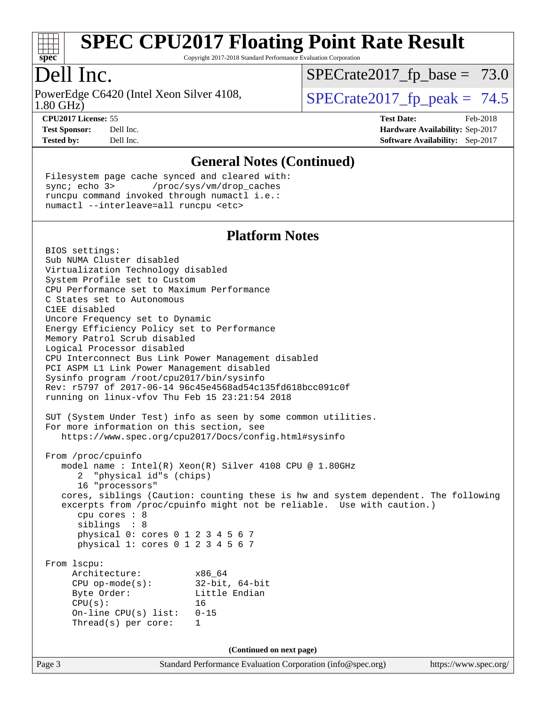

Copyright 2017-2018 Standard Performance Evaluation Corporation

### Dell Inc.

1.80 GHz) PowerEdge C6420 (Intel Xeon Silver 4108,  $\vert$  SPECrate 2017\_fp\_peak = 74.5

 $SPECTate2017_fp\_base = 73.0$ 

**[CPU2017 License:](http://www.spec.org/auto/cpu2017/Docs/result-fields.html#CPU2017License)** 55 **[Test Date:](http://www.spec.org/auto/cpu2017/Docs/result-fields.html#TestDate)** Feb-2018 **[Test Sponsor:](http://www.spec.org/auto/cpu2017/Docs/result-fields.html#TestSponsor)** Dell Inc. **[Hardware Availability:](http://www.spec.org/auto/cpu2017/Docs/result-fields.html#HardwareAvailability)** Sep-2017 **[Tested by:](http://www.spec.org/auto/cpu2017/Docs/result-fields.html#Testedby)** Dell Inc. **[Software Availability:](http://www.spec.org/auto/cpu2017/Docs/result-fields.html#SoftwareAvailability)** Sep-2017

#### **[General Notes \(Continued\)](http://www.spec.org/auto/cpu2017/Docs/result-fields.html#GeneralNotes)**

 Filesystem page cache synced and cleared with: sync; echo 3> /proc/sys/vm/drop\_caches runcpu command invoked through numactl i.e.: numactl --interleave=all runcpu <etc>

#### **[Platform Notes](http://www.spec.org/auto/cpu2017/Docs/result-fields.html#PlatformNotes)**

Page 3 Standard Performance Evaluation Corporation [\(info@spec.org\)](mailto:info@spec.org) <https://www.spec.org/> BIOS settings: Sub NUMA Cluster disabled Virtualization Technology disabled System Profile set to Custom CPU Performance set to Maximum Performance C States set to Autonomous C1EE disabled Uncore Frequency set to Dynamic Energy Efficiency Policy set to Performance Memory Patrol Scrub disabled Logical Processor disabled CPU Interconnect Bus Link Power Management disabled PCI ASPM L1 Link Power Management disabled Sysinfo program /root/cpu2017/bin/sysinfo Rev: r5797 of 2017-06-14 96c45e4568ad54c135fd618bcc091c0f running on linux-vfov Thu Feb 15 23:21:54 2018 SUT (System Under Test) info as seen by some common utilities. For more information on this section, see <https://www.spec.org/cpu2017/Docs/config.html#sysinfo> From /proc/cpuinfo model name : Intel(R) Xeon(R) Silver 4108 CPU @ 1.80GHz 2 "physical id"s (chips) 16 "processors" cores, siblings (Caution: counting these is hw and system dependent. The following excerpts from /proc/cpuinfo might not be reliable. Use with caution.) cpu cores : 8 siblings : 8 physical 0: cores 0 1 2 3 4 5 6 7 physical 1: cores 0 1 2 3 4 5 6 7 From lscpu: Architecture: x86\_64 CPU op-mode(s): 32-bit, 64-bit Byte Order: Little Endian  $CPU(s):$  16 On-line CPU(s) list: 0-15 Thread(s) per core: 1 **(Continued on next page)**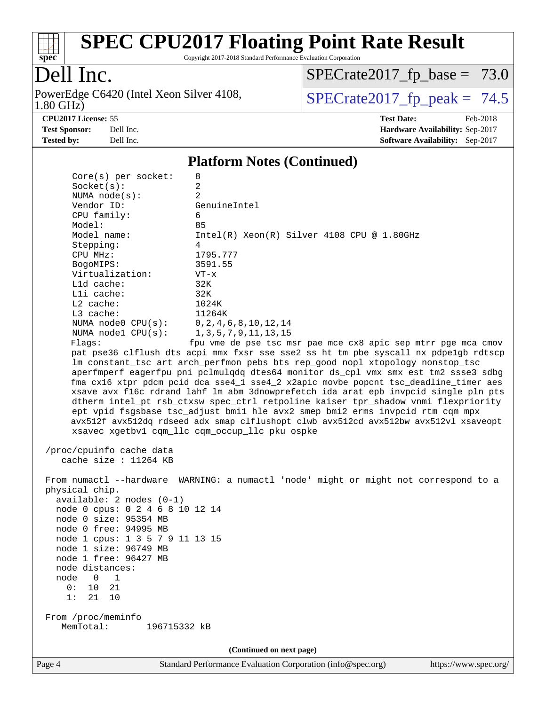

Copyright 2017-2018 Standard Performance Evaluation Corporation

### Dell Inc.

1.80 GHz) PowerEdge C6420 (Intel Xeon Silver 4108,  $\boxed{\text{SPECrate2017\_fp\_peak} = 74.5}$ 

 $SPECrate2017_fp\_base = 73.0$ 

**[CPU2017 License:](http://www.spec.org/auto/cpu2017/Docs/result-fields.html#CPU2017License)** 55 **[Test Date:](http://www.spec.org/auto/cpu2017/Docs/result-fields.html#TestDate)** Feb-2018 **[Test Sponsor:](http://www.spec.org/auto/cpu2017/Docs/result-fields.html#TestSponsor)** Dell Inc. **[Hardware Availability:](http://www.spec.org/auto/cpu2017/Docs/result-fields.html#HardwareAvailability)** Sep-2017 **[Tested by:](http://www.spec.org/auto/cpu2017/Docs/result-fields.html#Testedby)** Dell Inc. **[Software Availability:](http://www.spec.org/auto/cpu2017/Docs/result-fields.html#SoftwareAvailability)** Sep-2017

#### **[Platform Notes \(Continued\)](http://www.spec.org/auto/cpu2017/Docs/result-fields.html#PlatformNotes)**

Page 4 Standard Performance Evaluation Corporation [\(info@spec.org\)](mailto:info@spec.org) <https://www.spec.org/>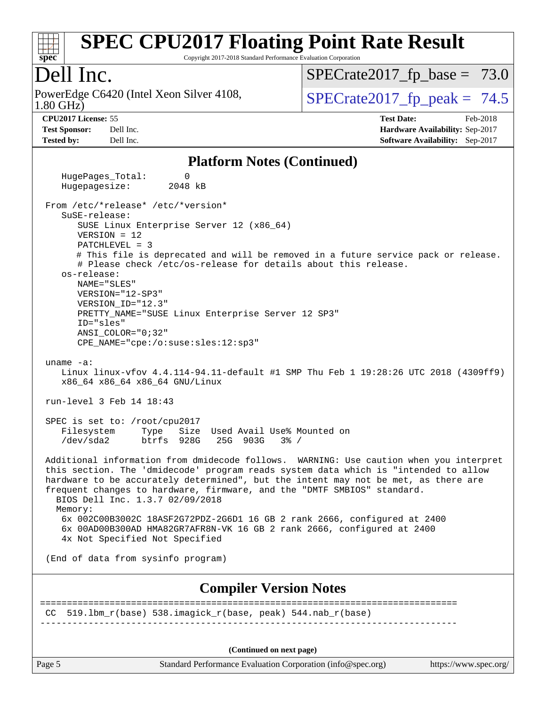

Copyright 2017-2018 Standard Performance Evaluation Corporation

### Dell Inc.

1.80 GHz) PowerEdge C6420 (Intel Xeon Silver 4108,  $\vert$  SPECrate 2017 fp peak = 74.5

 $SPECTate2017_fp\_base = 73.0$ 

**[Tested by:](http://www.spec.org/auto/cpu2017/Docs/result-fields.html#Testedby)** Dell Inc. **[Software Availability:](http://www.spec.org/auto/cpu2017/Docs/result-fields.html#SoftwareAvailability)** Sep-2017

**[CPU2017 License:](http://www.spec.org/auto/cpu2017/Docs/result-fields.html#CPU2017License)** 55 **[Test Date:](http://www.spec.org/auto/cpu2017/Docs/result-fields.html#TestDate)** Feb-2018 **[Test Sponsor:](http://www.spec.org/auto/cpu2017/Docs/result-fields.html#TestSponsor)** Dell Inc. **[Hardware Availability:](http://www.spec.org/auto/cpu2017/Docs/result-fields.html#HardwareAvailability)** Sep-2017

#### **[Platform Notes \(Continued\)](http://www.spec.org/auto/cpu2017/Docs/result-fields.html#PlatformNotes)**

HugePages Total: 0 Hugepagesize: 2048 kB From /etc/\*release\* /etc/\*version\* SuSE-release: SUSE Linux Enterprise Server 12 (x86\_64) VERSION = 12 PATCHLEVEL = 3 # This file is deprecated and will be removed in a future service pack or release. # Please check /etc/os-release for details about this release. os-release: NAME="SLES" VERSION="12-SP3" VERSION\_ID="12.3" PRETTY\_NAME="SUSE Linux Enterprise Server 12 SP3" ID="sles" ANSI\_COLOR="0;32" CPE\_NAME="cpe:/o:suse:sles:12:sp3" uname -a: Linux linux-vfov 4.4.114-94.11-default #1 SMP Thu Feb 1 19:28:26 UTC 2018 (4309ff9) x86\_64 x86\_64 x86\_64 GNU/Linux run-level 3 Feb 14 18:43 SPEC is set to: /root/cpu2017 Filesystem Type Size Used Avail Use% Mounted on /dev/sda2 btrfs 928G 25G 903G 3% / Additional information from dmidecode follows. WARNING: Use caution when you interpret this section. The 'dmidecode' program reads system data which is "intended to allow hardware to be accurately determined", but the intent may not be met, as there are frequent changes to hardware, firmware, and the "DMTF SMBIOS" standard. BIOS Dell Inc. 1.3.7 02/09/2018 Memory: 6x 002C00B3002C 18ASF2G72PDZ-2G6D1 16 GB 2 rank 2666, configured at 2400 6x 00AD00B300AD HMA82GR7AFR8N-VK 16 GB 2 rank 2666, configured at 2400 4x Not Specified Not Specified (End of data from sysinfo program) **[Compiler Version Notes](http://www.spec.org/auto/cpu2017/Docs/result-fields.html#CompilerVersionNotes)** ============================================================================== CC  $519.1 \text{bm}_r(\text{base})$  538.imagick $r(\text{base}, \text{peak})$  544.nab $r(\text{base})$ ------------------------------------------------------------------------------ **(Continued on next page)**

Page 5 Standard Performance Evaluation Corporation [\(info@spec.org\)](mailto:info@spec.org) <https://www.spec.org/>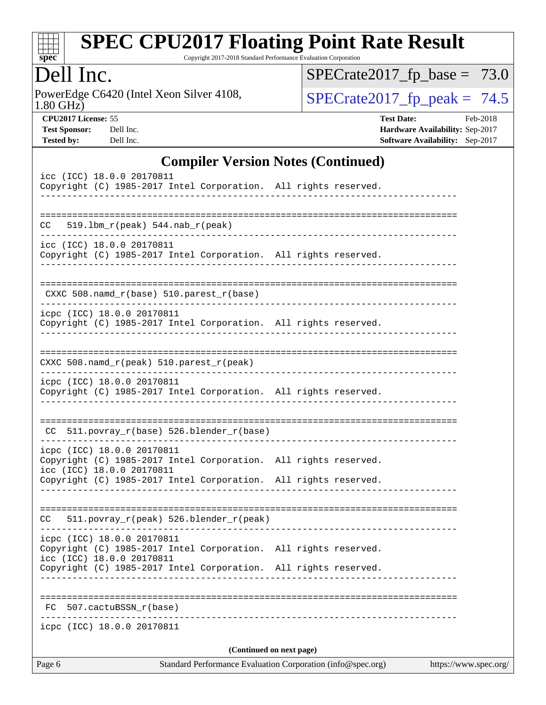

Copyright 2017-2018 Standard Performance Evaluation Corporation

### Dell Inc.

1.80 GHz) PowerEdge C6420 (Intel Xeon Silver 4108,  $\boxed{\text{SPECrate2017\_fp\_peak} = 74.5}$ 

 $SPECrate2017_fp\_base = 73.0$ 

**[CPU2017 License:](http://www.spec.org/auto/cpu2017/Docs/result-fields.html#CPU2017License)** 55 **[Test Date:](http://www.spec.org/auto/cpu2017/Docs/result-fields.html#TestDate)** Feb-2018 **[Test Sponsor:](http://www.spec.org/auto/cpu2017/Docs/result-fields.html#TestSponsor)** Dell Inc. **[Hardware Availability:](http://www.spec.org/auto/cpu2017/Docs/result-fields.html#HardwareAvailability)** Sep-2017 **[Tested by:](http://www.spec.org/auto/cpu2017/Docs/result-fields.html#Testedby)** Dell Inc. **[Software Availability:](http://www.spec.org/auto/cpu2017/Docs/result-fields.html#SoftwareAvailability)** Sep-2017

#### **[Compiler Version Notes \(Continued\)](http://www.spec.org/auto/cpu2017/Docs/result-fields.html#CompilerVersionNotes)**

| Page 6                                                                                                                     | Standard Performance Evaluation Corporation (info@spec.org)<br>https://www.spec.org/ |  |  |  |  |
|----------------------------------------------------------------------------------------------------------------------------|--------------------------------------------------------------------------------------|--|--|--|--|
| icpc (ICC) 18.0.0 20170811                                                                                                 | (Continued on next page)                                                             |  |  |  |  |
| 507.cactuBSSN_r(base)<br>FC                                                                                                |                                                                                      |  |  |  |  |
|                                                                                                                            |                                                                                      |  |  |  |  |
| Copyright (C) 1985-2017 Intel Corporation. All rights reserved.                                                            |                                                                                      |  |  |  |  |
| Copyright (C) 1985-2017 Intel Corporation. All rights reserved.<br>icc (ICC) 18.0.0 20170811                               |                                                                                      |  |  |  |  |
| icpc (ICC) 18.0.0 20170811                                                                                                 |                                                                                      |  |  |  |  |
| 511.povray_r(peak) 526.blender_r(peak)<br>CC.                                                                              |                                                                                      |  |  |  |  |
| Copyright (C) 1985-2017 Intel Corporation. All rights reserved.                                                            |                                                                                      |  |  |  |  |
| icpc (ICC) 18.0.0 20170811<br>Copyright (C) 1985-2017 Intel Corporation. All rights reserved.<br>icc (ICC) 18.0.0 20170811 |                                                                                      |  |  |  |  |
| CC 511.povray_r(base) 526.blender_r(base)                                                                                  |                                                                                      |  |  |  |  |
| Copyright (C) 1985-2017 Intel Corporation. All rights reserved.<br>-------------                                           |                                                                                      |  |  |  |  |
| icpc (ICC) 18.0.0 20170811                                                                                                 |                                                                                      |  |  |  |  |
| CXXC 508.namd_r(peak) 510.parest_r(peak)                                                                                   |                                                                                      |  |  |  |  |
| icpc (ICC) 18.0.0 20170811<br>Copyright (C) 1985-2017 Intel Corporation. All rights reserved.                              |                                                                                      |  |  |  |  |
| CXXC 508.namd_r(base) 510.parest_r(base)                                                                                   |                                                                                      |  |  |  |  |
| icc (ICC) 18.0.0 20170811<br>Copyright (C) 1985-2017 Intel Corporation. All rights reserved.                               |                                                                                      |  |  |  |  |
| CC<br>$519.1bm_r(peak) 544.nab_r(peak)$                                                                                    |                                                                                      |  |  |  |  |
| --------------                                                                                                             |                                                                                      |  |  |  |  |
| icc (ICC) 18.0.0 20170811<br>Copyright (C) 1985-2017 Intel Corporation. All rights reserved.                               |                                                                                      |  |  |  |  |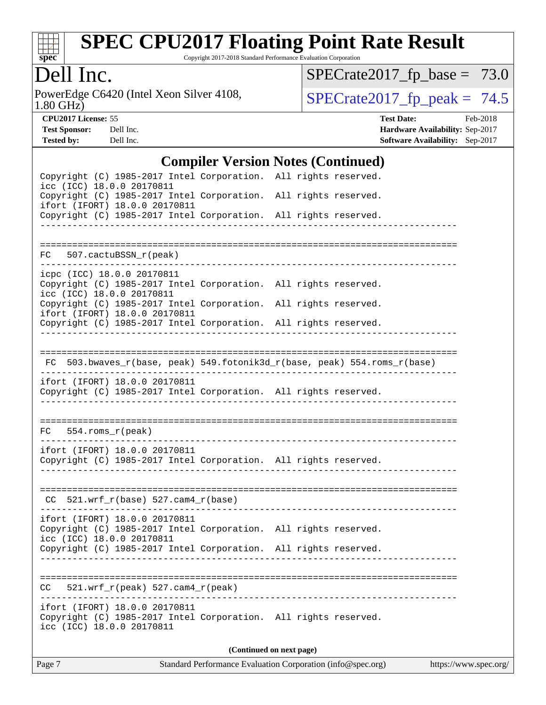

Copyright 2017-2018 Standard Performance Evaluation Corporation

### Dell Inc.

1.80 GHz) PowerEdge C6420 (Intel Xeon Silver 4108,  $\boxed{\text{SPECrate2017\_fp\_peak} = 74.5}$ 

 $SPECrate2017_fp\_base = 73.0$ 

**[CPU2017 License:](http://www.spec.org/auto/cpu2017/Docs/result-fields.html#CPU2017License)** 55 **[Test Date:](http://www.spec.org/auto/cpu2017/Docs/result-fields.html#TestDate)** Feb-2018 **[Test Sponsor:](http://www.spec.org/auto/cpu2017/Docs/result-fields.html#TestSponsor)** Dell Inc. **[Hardware Availability:](http://www.spec.org/auto/cpu2017/Docs/result-fields.html#HardwareAvailability)** Sep-2017 **[Tested by:](http://www.spec.org/auto/cpu2017/Docs/result-fields.html#Testedby)** Dell Inc. **[Software Availability:](http://www.spec.org/auto/cpu2017/Docs/result-fields.html#SoftwareAvailability)** Sep-2017

#### **[Compiler Version Notes \(Continued\)](http://www.spec.org/auto/cpu2017/Docs/result-fields.html#CompilerVersionNotes)**

|                            |                                                                                                  | $\mathbf{[Coulomb]}$ version rotes $\mathbf{[Coulomb]}$ |  |                                                                          |  |
|----------------------------|--------------------------------------------------------------------------------------------------|---------------------------------------------------------|--|--------------------------------------------------------------------------|--|
| icc (ICC) 18.0.0 20170811  | Copyright (C) 1985-2017 Intel Corporation. All rights reserved.                                  |                                                         |  |                                                                          |  |
|                            | Copyright (C) 1985-2017 Intel Corporation. All rights reserved.<br>ifort (IFORT) 18.0.0 20170811 |                                                         |  |                                                                          |  |
|                            | Copyright (C) 1985-2017 Intel Corporation. All rights reserved.                                  |                                                         |  |                                                                          |  |
|                            |                                                                                                  |                                                         |  |                                                                          |  |
| FC 507.cactuBSSN_r(peak)   |                                                                                                  |                                                         |  |                                                                          |  |
| icpc (ICC) 18.0.0 20170811 |                                                                                                  |                                                         |  |                                                                          |  |
| icc (ICC) 18.0.0 20170811  | Copyright (C) 1985-2017 Intel Corporation. All rights reserved.                                  |                                                         |  |                                                                          |  |
|                            | Copyright (C) 1985-2017 Intel Corporation. All rights reserved.<br>ifort (IFORT) 18.0.0 20170811 |                                                         |  |                                                                          |  |
|                            | Copyright (C) 1985-2017 Intel Corporation. All rights reserved.                                  |                                                         |  |                                                                          |  |
|                            |                                                                                                  |                                                         |  |                                                                          |  |
|                            |                                                                                                  |                                                         |  | FC 503.bwaves_r(base, peak) 549.fotonik3d_r(base, peak) 554.roms_r(base) |  |
|                            | ifort (IFORT) 18.0.0 20170811<br>Copyright (C) 1985-2017 Intel Corporation. All rights reserved. |                                                         |  |                                                                          |  |
|                            |                                                                                                  |                                                         |  |                                                                          |  |
|                            |                                                                                                  |                                                         |  |                                                                          |  |
| $FC 554.rows_r (peak)$     |                                                                                                  |                                                         |  |                                                                          |  |
|                            | ifort (IFORT) 18.0.0 20170811<br>Copyright (C) 1985-2017 Intel Corporation. All rights reserved. |                                                         |  |                                                                          |  |
|                            |                                                                                                  |                                                         |  |                                                                          |  |
|                            | $CC$ 521.wrf_r(base) 527.cam4_r(base)                                                            |                                                         |  |                                                                          |  |
|                            | ifort (IFORT) 18.0.0 20170811                                                                    |                                                         |  |                                                                          |  |
|                            | Copyright (C) 1985-2017 Intel Corporation. All rights reserved.                                  |                                                         |  |                                                                          |  |
| icc (ICC) 18.0.0 20170811  | Copyright (C) 1985-2017 Intel Corporation. All rights reserved.                                  |                                                         |  |                                                                          |  |
|                            |                                                                                                  |                                                         |  |                                                                          |  |
| CC.                        | $521.wrf_r(peak) 527.cam4_r(peak)$                                                               |                                                         |  |                                                                          |  |
| icc (ICC) 18.0.0 20170811  | ifort (IFORT) 18.0.0 20170811<br>Copyright (C) 1985-2017 Intel Corporation. All rights reserved. |                                                         |  |                                                                          |  |
| (Continued on next page)   |                                                                                                  |                                                         |  |                                                                          |  |
|                            |                                                                                                  |                                                         |  |                                                                          |  |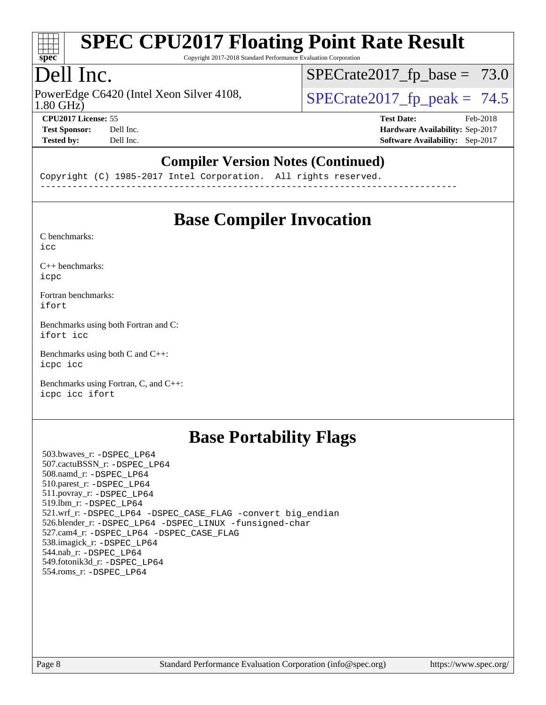

Copyright 2017-2018 Standard Performance Evaluation Corporation

### Dell Inc.

1.80 GHz) PowerEdge C6420 (Intel Xeon Silver 4108,  $\vert$  SPECrate 2017 fp peak = 74.5

 $SPECTate2017_fp\_base = 73.0$ 

**[CPU2017 License:](http://www.spec.org/auto/cpu2017/Docs/result-fields.html#CPU2017License)** 55 **[Test Date:](http://www.spec.org/auto/cpu2017/Docs/result-fields.html#TestDate)** Feb-2018

**[Test Sponsor:](http://www.spec.org/auto/cpu2017/Docs/result-fields.html#TestSponsor)** Dell Inc. **[Hardware Availability:](http://www.spec.org/auto/cpu2017/Docs/result-fields.html#HardwareAvailability)** Sep-2017 **[Tested by:](http://www.spec.org/auto/cpu2017/Docs/result-fields.html#Testedby)** Dell Inc. **[Software Availability:](http://www.spec.org/auto/cpu2017/Docs/result-fields.html#SoftwareAvailability)** Sep-2017

#### **[Compiler Version Notes \(Continued\)](http://www.spec.org/auto/cpu2017/Docs/result-fields.html#CompilerVersionNotes)**

Copyright (C) 1985-2017 Intel Corporation. All rights reserved. ------------------------------------------------------------------------------

### **[Base Compiler Invocation](http://www.spec.org/auto/cpu2017/Docs/result-fields.html#BaseCompilerInvocation)**

[C benchmarks](http://www.spec.org/auto/cpu2017/Docs/result-fields.html#Cbenchmarks): [icc](http://www.spec.org/cpu2017/results/res2018q1/cpu2017-20180305-03870.flags.html#user_CCbase_intel_icc_18.0_66fc1ee009f7361af1fbd72ca7dcefbb700085f36577c54f309893dd4ec40d12360134090235512931783d35fd58c0460139e722d5067c5574d8eaf2b3e37e92)

[C++ benchmarks:](http://www.spec.org/auto/cpu2017/Docs/result-fields.html#CXXbenchmarks) [icpc](http://www.spec.org/cpu2017/results/res2018q1/cpu2017-20180305-03870.flags.html#user_CXXbase_intel_icpc_18.0_c510b6838c7f56d33e37e94d029a35b4a7bccf4766a728ee175e80a419847e808290a9b78be685c44ab727ea267ec2f070ec5dc83b407c0218cded6866a35d07)

[Fortran benchmarks](http://www.spec.org/auto/cpu2017/Docs/result-fields.html#Fortranbenchmarks): [ifort](http://www.spec.org/cpu2017/results/res2018q1/cpu2017-20180305-03870.flags.html#user_FCbase_intel_ifort_18.0_8111460550e3ca792625aed983ce982f94888b8b503583aa7ba2b8303487b4d8a21a13e7191a45c5fd58ff318f48f9492884d4413fa793fd88dd292cad7027ca)

[Benchmarks using both Fortran and C](http://www.spec.org/auto/cpu2017/Docs/result-fields.html#BenchmarksusingbothFortranandC): [ifort](http://www.spec.org/cpu2017/results/res2018q1/cpu2017-20180305-03870.flags.html#user_CC_FCbase_intel_ifort_18.0_8111460550e3ca792625aed983ce982f94888b8b503583aa7ba2b8303487b4d8a21a13e7191a45c5fd58ff318f48f9492884d4413fa793fd88dd292cad7027ca) [icc](http://www.spec.org/cpu2017/results/res2018q1/cpu2017-20180305-03870.flags.html#user_CC_FCbase_intel_icc_18.0_66fc1ee009f7361af1fbd72ca7dcefbb700085f36577c54f309893dd4ec40d12360134090235512931783d35fd58c0460139e722d5067c5574d8eaf2b3e37e92)

[Benchmarks using both C and C++](http://www.spec.org/auto/cpu2017/Docs/result-fields.html#BenchmarksusingbothCandCXX): [icpc](http://www.spec.org/cpu2017/results/res2018q1/cpu2017-20180305-03870.flags.html#user_CC_CXXbase_intel_icpc_18.0_c510b6838c7f56d33e37e94d029a35b4a7bccf4766a728ee175e80a419847e808290a9b78be685c44ab727ea267ec2f070ec5dc83b407c0218cded6866a35d07) [icc](http://www.spec.org/cpu2017/results/res2018q1/cpu2017-20180305-03870.flags.html#user_CC_CXXbase_intel_icc_18.0_66fc1ee009f7361af1fbd72ca7dcefbb700085f36577c54f309893dd4ec40d12360134090235512931783d35fd58c0460139e722d5067c5574d8eaf2b3e37e92)

[Benchmarks using Fortran, C, and C++:](http://www.spec.org/auto/cpu2017/Docs/result-fields.html#BenchmarksusingFortranCandCXX) [icpc](http://www.spec.org/cpu2017/results/res2018q1/cpu2017-20180305-03870.flags.html#user_CC_CXX_FCbase_intel_icpc_18.0_c510b6838c7f56d33e37e94d029a35b4a7bccf4766a728ee175e80a419847e808290a9b78be685c44ab727ea267ec2f070ec5dc83b407c0218cded6866a35d07) [icc](http://www.spec.org/cpu2017/results/res2018q1/cpu2017-20180305-03870.flags.html#user_CC_CXX_FCbase_intel_icc_18.0_66fc1ee009f7361af1fbd72ca7dcefbb700085f36577c54f309893dd4ec40d12360134090235512931783d35fd58c0460139e722d5067c5574d8eaf2b3e37e92) [ifort](http://www.spec.org/cpu2017/results/res2018q1/cpu2017-20180305-03870.flags.html#user_CC_CXX_FCbase_intel_ifort_18.0_8111460550e3ca792625aed983ce982f94888b8b503583aa7ba2b8303487b4d8a21a13e7191a45c5fd58ff318f48f9492884d4413fa793fd88dd292cad7027ca)

#### **[Base Portability Flags](http://www.spec.org/auto/cpu2017/Docs/result-fields.html#BasePortabilityFlags)**

 503.bwaves\_r: [-DSPEC\\_LP64](http://www.spec.org/cpu2017/results/res2018q1/cpu2017-20180305-03870.flags.html#suite_basePORTABILITY503_bwaves_r_DSPEC_LP64) 507.cactuBSSN\_r: [-DSPEC\\_LP64](http://www.spec.org/cpu2017/results/res2018q1/cpu2017-20180305-03870.flags.html#suite_basePORTABILITY507_cactuBSSN_r_DSPEC_LP64) 508.namd\_r: [-DSPEC\\_LP64](http://www.spec.org/cpu2017/results/res2018q1/cpu2017-20180305-03870.flags.html#suite_basePORTABILITY508_namd_r_DSPEC_LP64) 510.parest\_r: [-DSPEC\\_LP64](http://www.spec.org/cpu2017/results/res2018q1/cpu2017-20180305-03870.flags.html#suite_basePORTABILITY510_parest_r_DSPEC_LP64) 511.povray\_r: [-DSPEC\\_LP64](http://www.spec.org/cpu2017/results/res2018q1/cpu2017-20180305-03870.flags.html#suite_basePORTABILITY511_povray_r_DSPEC_LP64) 519.lbm\_r: [-DSPEC\\_LP64](http://www.spec.org/cpu2017/results/res2018q1/cpu2017-20180305-03870.flags.html#suite_basePORTABILITY519_lbm_r_DSPEC_LP64) 521.wrf\_r: [-DSPEC\\_LP64](http://www.spec.org/cpu2017/results/res2018q1/cpu2017-20180305-03870.flags.html#suite_basePORTABILITY521_wrf_r_DSPEC_LP64) [-DSPEC\\_CASE\\_FLAG](http://www.spec.org/cpu2017/results/res2018q1/cpu2017-20180305-03870.flags.html#b521.wrf_r_baseCPORTABILITY_DSPEC_CASE_FLAG) [-convert big\\_endian](http://www.spec.org/cpu2017/results/res2018q1/cpu2017-20180305-03870.flags.html#user_baseFPORTABILITY521_wrf_r_convert_big_endian_c3194028bc08c63ac5d04de18c48ce6d347e4e562e8892b8bdbdc0214820426deb8554edfa529a3fb25a586e65a3d812c835984020483e7e73212c4d31a38223) 526.blender\_r: [-DSPEC\\_LP64](http://www.spec.org/cpu2017/results/res2018q1/cpu2017-20180305-03870.flags.html#suite_basePORTABILITY526_blender_r_DSPEC_LP64) [-DSPEC\\_LINUX](http://www.spec.org/cpu2017/results/res2018q1/cpu2017-20180305-03870.flags.html#b526.blender_r_baseCPORTABILITY_DSPEC_LINUX) [-funsigned-char](http://www.spec.org/cpu2017/results/res2018q1/cpu2017-20180305-03870.flags.html#user_baseCPORTABILITY526_blender_r_force_uchar_40c60f00ab013830e2dd6774aeded3ff59883ba5a1fc5fc14077f794d777847726e2a5858cbc7672e36e1b067e7e5c1d9a74f7176df07886a243d7cc18edfe67) 527.cam4\_r: [-DSPEC\\_LP64](http://www.spec.org/cpu2017/results/res2018q1/cpu2017-20180305-03870.flags.html#suite_basePORTABILITY527_cam4_r_DSPEC_LP64) [-DSPEC\\_CASE\\_FLAG](http://www.spec.org/cpu2017/results/res2018q1/cpu2017-20180305-03870.flags.html#b527.cam4_r_baseCPORTABILITY_DSPEC_CASE_FLAG) 538.imagick\_r: [-DSPEC\\_LP64](http://www.spec.org/cpu2017/results/res2018q1/cpu2017-20180305-03870.flags.html#suite_basePORTABILITY538_imagick_r_DSPEC_LP64) 544.nab\_r: [-DSPEC\\_LP64](http://www.spec.org/cpu2017/results/res2018q1/cpu2017-20180305-03870.flags.html#suite_basePORTABILITY544_nab_r_DSPEC_LP64) 549.fotonik3d\_r: [-DSPEC\\_LP64](http://www.spec.org/cpu2017/results/res2018q1/cpu2017-20180305-03870.flags.html#suite_basePORTABILITY549_fotonik3d_r_DSPEC_LP64) 554.roms\_r: [-DSPEC\\_LP64](http://www.spec.org/cpu2017/results/res2018q1/cpu2017-20180305-03870.flags.html#suite_basePORTABILITY554_roms_r_DSPEC_LP64)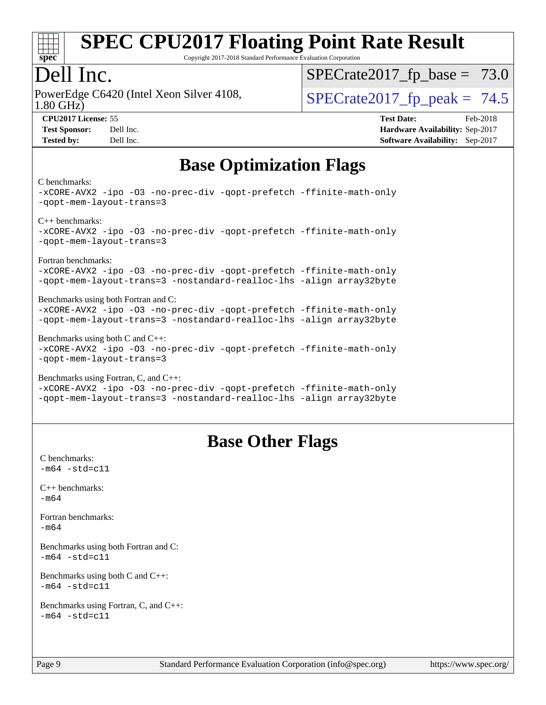

Copyright 2017-2018 Standard Performance Evaluation Corporation

### Dell Inc.

1.80 GHz) PowerEdge C6420 (Intel Xeon Silver 4108,  $\vert$  SPECrate 2017 fp peak = 74.5

 $SPECTate2017_fp\_base = 73.0$ 

| <b>Test Sponsor:</b> | Dell Ind                         |
|----------------------|----------------------------------|
| Teatra ban           | D <sub>2</sub> 11 L <sub>2</sub> |

**[CPU2017 License:](http://www.spec.org/auto/cpu2017/Docs/result-fields.html#CPU2017License)** 55 **[Test Date:](http://www.spec.org/auto/cpu2017/Docs/result-fields.html#TestDate)** Feb-2018 **[Test Sponsor:](http://www.spec.org/auto/cpu2017/Docs/result-fields.html#TestSponsor)** Deliver Sponsor: **[Hardware Availability:](http://www.spec.org/auto/cpu2017/Docs/result-fields.html#HardwareAvailability)** Sep-2017 **[Tested by:](http://www.spec.org/auto/cpu2017/Docs/result-fields.html#Testedby)** Dell Inc. **[Software Availability:](http://www.spec.org/auto/cpu2017/Docs/result-fields.html#SoftwareAvailability)** Sep-2017

### **[Base Optimization Flags](http://www.spec.org/auto/cpu2017/Docs/result-fields.html#BaseOptimizationFlags)**

#### [C benchmarks](http://www.spec.org/auto/cpu2017/Docs/result-fields.html#Cbenchmarks):

```
-xCORE-AVX2 -ipo -O3 -no-prec-div -qopt-prefetch -ffinite-math-only
-qopt-mem-layout-trans=3
C++ benchmarks: 
-xCORE-AVX2 -ipo -O3 -no-prec-div -qopt-prefetch -ffinite-math-only
-qopt-mem-layout-trans=3
Fortran benchmarks: 
-xCORE-AVX2 -ipo -O3 -no-prec-div -qopt-prefetch -ffinite-math-only
-qopt-mem-layout-trans=3 -nostandard-realloc-lhs -align array32byte
Benchmarks using both Fortran and C: 
-xCORE-AVX2 -ipo -O3 -no-prec-div -qopt-prefetch -ffinite-math-only
-qopt-mem-layout-trans=3 -nostandard-realloc-lhs -align array32byte
Benchmarks using both C and C++: 
-xCORE-AVX2 -ipo -O3 -no-prec-div -qopt-prefetch -ffinite-math-only
-qopt-mem-layout-trans=3
Benchmarks using Fortran, C, and C++: 
-xCORE-AVX2 -ipo -O3 -no-prec-div -qopt-prefetch -ffinite-math-only
```
#### [-qopt-mem-layout-trans=3](http://www.spec.org/cpu2017/results/res2018q1/cpu2017-20180305-03870.flags.html#user_CC_CXX_FCbase_f-qopt-mem-layout-trans_de80db37974c74b1f0e20d883f0b675c88c3b01e9d123adea9b28688d64333345fb62bc4a798493513fdb68f60282f9a726aa07f478b2f7113531aecce732043) [-nostandard-realloc-lhs](http://www.spec.org/cpu2017/results/res2018q1/cpu2017-20180305-03870.flags.html#user_CC_CXX_FCbase_f_2003_std_realloc_82b4557e90729c0f113870c07e44d33d6f5a304b4f63d4c15d2d0f1fab99f5daaed73bdb9275d9ae411527f28b936061aa8b9c8f2d63842963b95c9dd6426b8a) [-align array32byte](http://www.spec.org/cpu2017/results/res2018q1/cpu2017-20180305-03870.flags.html#user_CC_CXX_FCbase_align_array32byte_b982fe038af199962ba9a80c053b8342c548c85b40b8e86eb3cc33dee0d7986a4af373ac2d51c3f7cf710a18d62fdce2948f201cd044323541f22fc0fffc51b6)

#### **[Base Other Flags](http://www.spec.org/auto/cpu2017/Docs/result-fields.html#BaseOtherFlags)**

[C benchmarks](http://www.spec.org/auto/cpu2017/Docs/result-fields.html#Cbenchmarks):  $-m64 - std = c11$  $-m64 - std = c11$ [C++ benchmarks:](http://www.spec.org/auto/cpu2017/Docs/result-fields.html#CXXbenchmarks) [-m64](http://www.spec.org/cpu2017/results/res2018q1/cpu2017-20180305-03870.flags.html#user_CXXbase_intel_intel64_18.0_af43caccfc8ded86e7699f2159af6efc7655f51387b94da716254467f3c01020a5059329e2569e4053f409e7c9202a7efc638f7a6d1ffb3f52dea4a3e31d82ab) [Fortran benchmarks](http://www.spec.org/auto/cpu2017/Docs/result-fields.html#Fortranbenchmarks): [-m64](http://www.spec.org/cpu2017/results/res2018q1/cpu2017-20180305-03870.flags.html#user_FCbase_intel_intel64_18.0_af43caccfc8ded86e7699f2159af6efc7655f51387b94da716254467f3c01020a5059329e2569e4053f409e7c9202a7efc638f7a6d1ffb3f52dea4a3e31d82ab) [Benchmarks using both Fortran and C](http://www.spec.org/auto/cpu2017/Docs/result-fields.html#BenchmarksusingbothFortranandC):  $-m64$   $-std=cl1$ [Benchmarks using both C and C++](http://www.spec.org/auto/cpu2017/Docs/result-fields.html#BenchmarksusingbothCandCXX):  $-m64 - std= c11$  $-m64 - std= c11$ [Benchmarks using Fortran, C, and C++:](http://www.spec.org/auto/cpu2017/Docs/result-fields.html#BenchmarksusingFortranCandCXX)  $-m64 - std = c11$  $-m64 - std = c11$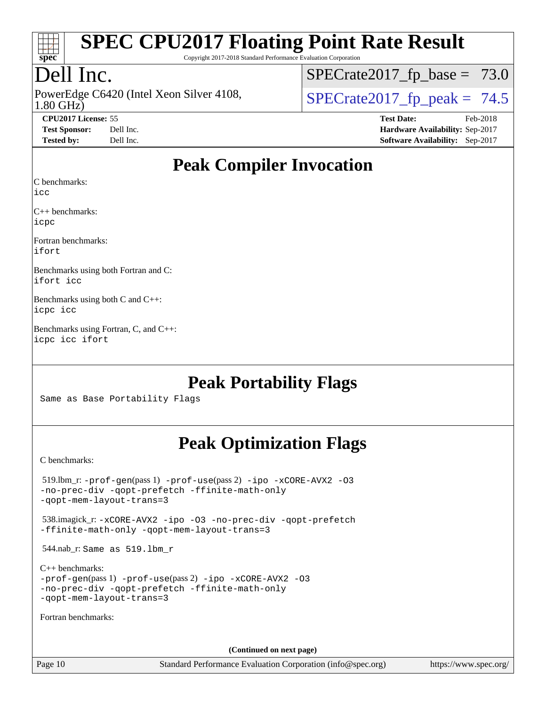

Copyright 2017-2018 Standard Performance Evaluation Corporation

### Dell Inc.

1.80 GHz) PowerEdge C6420 (Intel Xeon Silver 4108,  $\text{SPECrate2017\_fp\_peak} = 74.5$ 

 $SPECTate2017_fp\_base = 73.0$ 

**[CPU2017 License:](http://www.spec.org/auto/cpu2017/Docs/result-fields.html#CPU2017License)** 55 **[Test Date:](http://www.spec.org/auto/cpu2017/Docs/result-fields.html#TestDate)** Feb-2018

**[Test Sponsor:](http://www.spec.org/auto/cpu2017/Docs/result-fields.html#TestSponsor)** Dell Inc. **[Hardware Availability:](http://www.spec.org/auto/cpu2017/Docs/result-fields.html#HardwareAvailability)** Sep-2017 **[Tested by:](http://www.spec.org/auto/cpu2017/Docs/result-fields.html#Testedby)** Dell Inc. **[Software Availability:](http://www.spec.org/auto/cpu2017/Docs/result-fields.html#SoftwareAvailability)** Sep-2017

### **[Peak Compiler Invocation](http://www.spec.org/auto/cpu2017/Docs/result-fields.html#PeakCompilerInvocation)**

[C benchmarks](http://www.spec.org/auto/cpu2017/Docs/result-fields.html#Cbenchmarks):

[icc](http://www.spec.org/cpu2017/results/res2018q1/cpu2017-20180305-03870.flags.html#user_CCpeak_intel_icc_18.0_66fc1ee009f7361af1fbd72ca7dcefbb700085f36577c54f309893dd4ec40d12360134090235512931783d35fd58c0460139e722d5067c5574d8eaf2b3e37e92)

[C++ benchmarks:](http://www.spec.org/auto/cpu2017/Docs/result-fields.html#CXXbenchmarks) [icpc](http://www.spec.org/cpu2017/results/res2018q1/cpu2017-20180305-03870.flags.html#user_CXXpeak_intel_icpc_18.0_c510b6838c7f56d33e37e94d029a35b4a7bccf4766a728ee175e80a419847e808290a9b78be685c44ab727ea267ec2f070ec5dc83b407c0218cded6866a35d07)

[Fortran benchmarks](http://www.spec.org/auto/cpu2017/Docs/result-fields.html#Fortranbenchmarks): [ifort](http://www.spec.org/cpu2017/results/res2018q1/cpu2017-20180305-03870.flags.html#user_FCpeak_intel_ifort_18.0_8111460550e3ca792625aed983ce982f94888b8b503583aa7ba2b8303487b4d8a21a13e7191a45c5fd58ff318f48f9492884d4413fa793fd88dd292cad7027ca)

[Benchmarks using both Fortran and C](http://www.spec.org/auto/cpu2017/Docs/result-fields.html#BenchmarksusingbothFortranandC): [ifort](http://www.spec.org/cpu2017/results/res2018q1/cpu2017-20180305-03870.flags.html#user_CC_FCpeak_intel_ifort_18.0_8111460550e3ca792625aed983ce982f94888b8b503583aa7ba2b8303487b4d8a21a13e7191a45c5fd58ff318f48f9492884d4413fa793fd88dd292cad7027ca) [icc](http://www.spec.org/cpu2017/results/res2018q1/cpu2017-20180305-03870.flags.html#user_CC_FCpeak_intel_icc_18.0_66fc1ee009f7361af1fbd72ca7dcefbb700085f36577c54f309893dd4ec40d12360134090235512931783d35fd58c0460139e722d5067c5574d8eaf2b3e37e92)

[Benchmarks using both C and C++:](http://www.spec.org/auto/cpu2017/Docs/result-fields.html#BenchmarksusingbothCandCXX) [icpc](http://www.spec.org/cpu2017/results/res2018q1/cpu2017-20180305-03870.flags.html#user_CC_CXXpeak_intel_icpc_18.0_c510b6838c7f56d33e37e94d029a35b4a7bccf4766a728ee175e80a419847e808290a9b78be685c44ab727ea267ec2f070ec5dc83b407c0218cded6866a35d07) [icc](http://www.spec.org/cpu2017/results/res2018q1/cpu2017-20180305-03870.flags.html#user_CC_CXXpeak_intel_icc_18.0_66fc1ee009f7361af1fbd72ca7dcefbb700085f36577c54f309893dd4ec40d12360134090235512931783d35fd58c0460139e722d5067c5574d8eaf2b3e37e92)

[Benchmarks using Fortran, C, and C++](http://www.spec.org/auto/cpu2017/Docs/result-fields.html#BenchmarksusingFortranCandCXX): [icpc](http://www.spec.org/cpu2017/results/res2018q1/cpu2017-20180305-03870.flags.html#user_CC_CXX_FCpeak_intel_icpc_18.0_c510b6838c7f56d33e37e94d029a35b4a7bccf4766a728ee175e80a419847e808290a9b78be685c44ab727ea267ec2f070ec5dc83b407c0218cded6866a35d07) [icc](http://www.spec.org/cpu2017/results/res2018q1/cpu2017-20180305-03870.flags.html#user_CC_CXX_FCpeak_intel_icc_18.0_66fc1ee009f7361af1fbd72ca7dcefbb700085f36577c54f309893dd4ec40d12360134090235512931783d35fd58c0460139e722d5067c5574d8eaf2b3e37e92) [ifort](http://www.spec.org/cpu2017/results/res2018q1/cpu2017-20180305-03870.flags.html#user_CC_CXX_FCpeak_intel_ifort_18.0_8111460550e3ca792625aed983ce982f94888b8b503583aa7ba2b8303487b4d8a21a13e7191a45c5fd58ff318f48f9492884d4413fa793fd88dd292cad7027ca)

#### **[Peak Portability Flags](http://www.spec.org/auto/cpu2017/Docs/result-fields.html#PeakPortabilityFlags)**

Same as Base Portability Flags

### **[Peak Optimization Flags](http://www.spec.org/auto/cpu2017/Docs/result-fields.html#PeakOptimizationFlags)**

[C benchmarks](http://www.spec.org/auto/cpu2017/Docs/result-fields.html#Cbenchmarks):

| (Continued on next page)                                                                                                                                         |
|------------------------------------------------------------------------------------------------------------------------------------------------------------------|
| Fortran benchmarks:                                                                                                                                              |
| $C_{++}$ benchmarks:<br>$-prof-qen(pass 1) -prof-use(pass 2) -ipo -xCORE-AVX2 -O3$<br>-no-prec-div -qopt-prefetch -ffinite-math-only<br>-gopt-mem-layout-trans=3 |
| 544.nab_r: Same as 519.1bm_r                                                                                                                                     |
| 538.imagick_r:-xCORE-AVX2 -ipo -03 -no-prec-div -qopt-prefetch<br>-ffinite-math-only -gopt-mem-layout-trans=3                                                    |
| $519.$ lbm_r: -prof-qen(pass 1) -prof-use(pass 2) -ipo -xCORE-AVX2 -03<br>-no-prec-div -qopt-prefetch -ffinite-math-only<br>-gopt-mem-layout-trans=3             |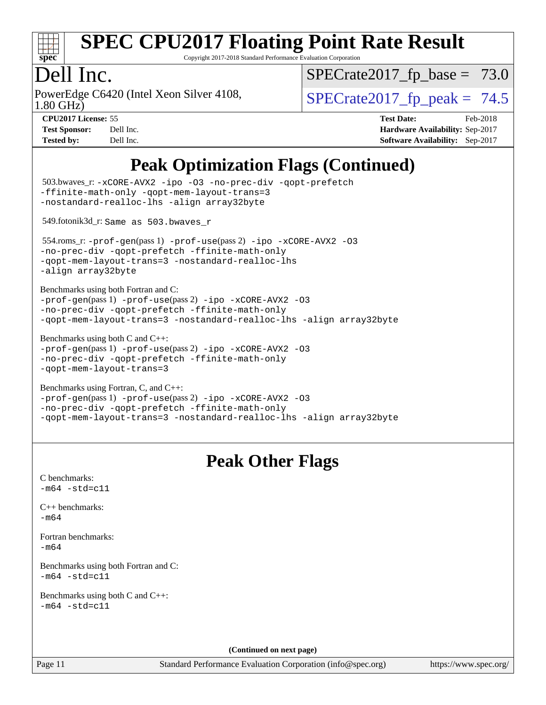

Copyright 2017-2018 Standard Performance Evaluation Corporation

### Dell Inc.

1.80 GHz) PowerEdge C6420 (Intel Xeon Silver 4108,  $\vert$  SPECrate 2017 fp peak = 74.5

 $SPECTate2017_fp\_base = 73.0$ 

**[Test Sponsor:](http://www.spec.org/auto/cpu2017/Docs/result-fields.html#TestSponsor)** Dell Inc. **[Hardware Availability:](http://www.spec.org/auto/cpu2017/Docs/result-fields.html#HardwareAvailability)** Sep-2017 **[Tested by:](http://www.spec.org/auto/cpu2017/Docs/result-fields.html#Testedby)** Dell Inc. **[Software Availability:](http://www.spec.org/auto/cpu2017/Docs/result-fields.html#SoftwareAvailability)** Sep-2017

**[CPU2017 License:](http://www.spec.org/auto/cpu2017/Docs/result-fields.html#CPU2017License)** 55 **[Test Date:](http://www.spec.org/auto/cpu2017/Docs/result-fields.html#TestDate)** Feb-2018

**[Peak Optimization Flags \(Continued\)](http://www.spec.org/auto/cpu2017/Docs/result-fields.html#PeakOptimizationFlags)**

```
Page 11 Standard Performance Evaluation Corporation (info@spec.org) https://www.spec.org/
  503.bwaves_r: -xCORE-AVX2 -ipo -O3 -no-prec-div -qopt-prefetch
-ffinite-math-only -qopt-mem-layout-trans=3
-nostandard-realloc-lhs -align array32byte
  549.fotonik3d_r: Same as 503.bwaves_r
  554.roms_r: -prof-gen(pass 1) -prof-use(pass 2) -ipo -xCORE-AVX2 -O3
-no-prec-div -qopt-prefetch -ffinite-math-only
-qopt-mem-layout-trans=3 -nostandard-realloc-lhs
-align array32byte
Benchmarks using both Fortran and C: 
-prof-gen(pass 1) -prof-use(pass 2) -ipo -xCORE-AVX2 -O3
-no-prec-div -qopt-prefetch -ffinite-math-only
-qopt-mem-layout-trans=3 -nostandard-realloc-lhs -align array32byte
Benchmarks using both C and C++: 
-prof-gen(pass 1) -prof-use(pass 2) -ipo -xCORE-AVX2 -O3
-no-prec-div -qopt-prefetch -ffinite-math-only
-qopt-mem-layout-trans=3
Benchmarks using Fortran, C, and C++: 
-prof-gen(pass 1) -prof-use(pass 2) -ipo -xCORE-AVX2 -O3
-no-prec-div -qopt-prefetch -ffinite-math-only
-qopt-mem-layout-trans=3 -nostandard-realloc-lhs -align array32byte
                                   Peak Other Flags
C benchmarks: 
-m64 - std= c11C++ benchmarks: 
-m64Fortran benchmarks: 
-m64
Benchmarks using both Fortran and C: 
-m64 - std= c11Benchmarks using both C and C++: 
-m64 - std= c11(Continued on next page)
```